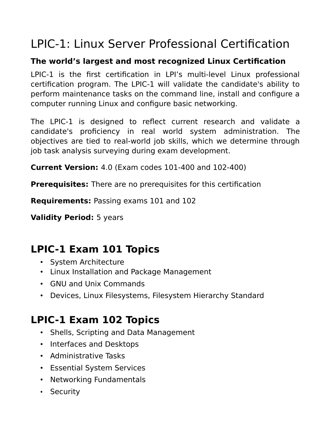# LPIC-1: Linux Server Professional Certification

#### **The world's largest and most recognized Linux Certification**

LPIC-1 is the first certification in LPI's multi-level Linux professional certification program. The LPIC-1 will validate the candidate's ability to perform maintenance tasks on the command line, install and configure a computer running Linux and configure basic networking.

The LPIC-1 is designed to reflect current research and validate a candidate's proficiency in real world system administration. The objectives are tied to real-world job skills, which we determine through job task analysis surveying during exam development.

**Current Version:** 4.0 (Exam codes 101-400 and 102-400)

**Prerequisites:** There are no prerequisites for this certification

**Requirements:** Passing exams 101 and 102

**Validity Period:** 5 years

## **LPIC-1 Exam 101 Topics**

- System Architecture
- Linux Installation and Package Management
- GNU and Unix Commands
- Devices, Linux Filesystems, Filesystem Hierarchy Standard

## **LPIC-1 Exam 102 Topics**

- Shells, Scripting and Data Management
- Interfaces and Desktops
- Administrative Tasks
- Essential System Services
- Networking Fundamentals
- Security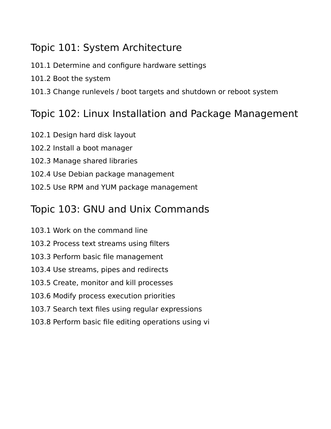### Topic 101: System Architecture

101.1 Determine and configure hardware settings

101.2 Boot the system

101.3 Change runlevels / boot targets and shutdown or reboot system

### Topic 102: Linux Installation and Package Management

- 102.1 Design hard disk layout
- 102.2 Install a boot manager
- 102.3 Manage shared libraries
- 102.4 Use Debian package management
- 102.5 Use RPM and YUM package management

### Topic 103: GNU and Unix Commands

- 103.1 Work on the command line
- 103.2 Process text streams using filters
- 103.3 Perform basic file management
- 103.4 Use streams, pipes and redirects
- 103.5 Create, monitor and kill processes
- 103.6 Modify process execution priorities
- 103.7 Search text files using regular expressions
- 103.8 Perform basic file editing operations using vi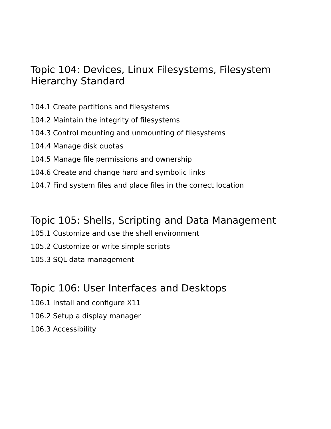#### Topic 104: Devices, Linux Filesystems, Filesystem Hierarchy Standard

- 104.1 Create partitions and filesystems
- 104.2 Maintain the integrity of filesystems
- 104.3 Control mounting and unmounting of filesystems
- 104.4 Manage disk quotas
- 104.5 Manage file permissions and ownership
- 104.6 Create and change hard and symbolic links
- 104.7 Find system files and place files in the correct location

#### Topic 105: Shells, Scripting and Data Management

- 105.1 Customize and use the shell environment
- 105.2 Customize or write simple scripts
- 105.3 SQL data management

### Topic 106: User Interfaces and Desktops

- 106.1 Install and configure X11
- 106.2 Setup a display manager
- 106.3 Accessibility